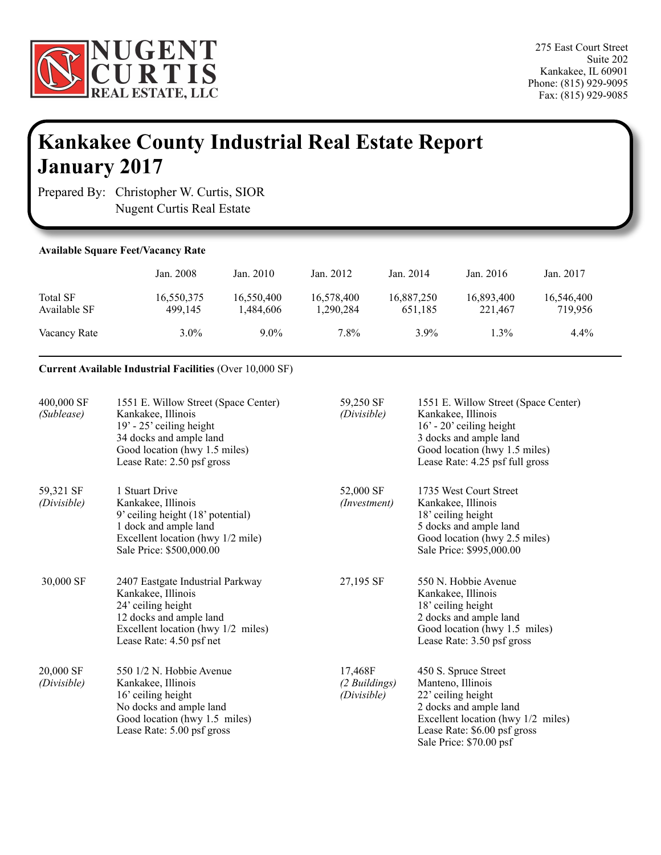

## **Kankakee County Industrial Real Estate Report January 2017**

Prepared By: Christopher W. Curtis, SIOR Nugent Curtis Real Estate

| <b>Available Square Feet/Vacancy Rate</b> |                       |                         |                         |                       |                       |                       |  |
|-------------------------------------------|-----------------------|-------------------------|-------------------------|-----------------------|-----------------------|-----------------------|--|
|                                           | Jan. 2008             | Jan. 2010               | Jan. 2012               | Jan. 2014             | Jan. 2016             | Jan. 2017             |  |
| <b>Total SF</b><br>Available SF           | 16,550,375<br>499.145 | 16,550,400<br>1,484,606 | 16,578,400<br>1,290,284 | 16,887,250<br>651,185 | 16,893,400<br>221.467 | 16,546,400<br>719.956 |  |
| Vacancy Rate                              | $3.0\%$               | $9.0\%$                 | 7.8%                    | $3.9\%$               | $1.3\%$               | $4.4\%$               |  |

## **Current Available Industrial Facilities** (Over 10,000 SF)

| 400,000 SF<br>(Sublease) | 1551 E. Willow Street (Space Center)<br>Kankakee, Illinois<br>$19' - 25'$ ceiling height<br>34 docks and ample land<br>Good location (hwy 1.5 miles)<br>Lease Rate: 2.50 psf gross | 59,250 SF<br>(Divisible)                | 1551 E. Willow Street (Space Center)<br>Kankakee, Illinois<br>$16' - 20'$ ceiling height<br>3 docks and ample land<br>Good location (hwy 1.5 miles)<br>Lease Rate: 4.25 psf full gross     |
|--------------------------|------------------------------------------------------------------------------------------------------------------------------------------------------------------------------------|-----------------------------------------|--------------------------------------------------------------------------------------------------------------------------------------------------------------------------------------------|
| 59,321 SF<br>(Divisible) | 1 Stuart Drive<br>Kankakee, Illinois<br>9' ceiling height (18' potential)<br>1 dock and ample land<br>Excellent location (hwy 1/2 mile)<br>Sale Price: \$500,000.00                | 52,000 SF<br>(Investment)               | 1735 West Court Street<br>Kankakee, Illinois<br>18' ceiling height<br>5 docks and ample land<br>Good location (hwy 2.5 miles)<br>Sale Price: \$995,000.00                                  |
| 30,000 SF                | 2407 Eastgate Industrial Parkway<br>Kankakee, Illinois<br>24' ceiling height<br>12 docks and ample land<br>Excellent location (hwy 1/2 miles)<br>Lease Rate: 4.50 psf net          | 27,195 SF                               | 550 N. Hobbie Avenue<br>Kankakee, Illinois<br>18' ceiling height<br>2 docks and ample land<br>Good location (hwy 1.5 miles)<br>Lease Rate: 3.50 psf gross                                  |
| 20,000 SF<br>(Divisible) | 550 1/2 N. Hobbie Avenue<br>Kankakee, Illinois<br>16' ceiling height<br>No docks and ample land<br>Good location (hwy 1.5 miles)<br>Lease Rate: 5.00 psf gross                     | 17,468F<br>(2 Buildings)<br>(Divisible) | 450 S. Spruce Street<br>Manteno, Illinois<br>22' ceiling height<br>2 docks and ample land<br>Excellent location (hwy 1/2 miles)<br>Lease Rate: \$6.00 psf gross<br>Sale Price: \$70.00 psf |